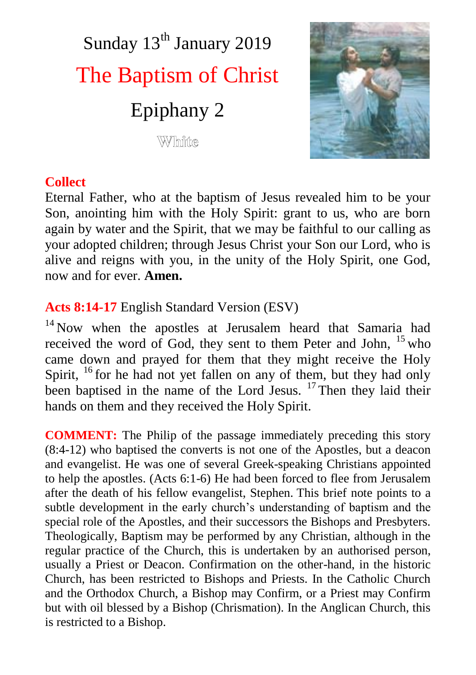# Sunday 13<sup>th</sup> January 2019 The Baptism of Christ Epiphany 2 White



## **Collect**

Eternal Father, who at the baptism of Jesus revealed him to be your Son, anointing him with the Holy Spirit: grant to us, who are born again by water and the Spirit, that we may be faithful to our calling as your adopted children; through Jesus Christ your Son our Lord, who is alive and reigns with you, in the unity of the Holy Spirit, one God, now and for ever. **Amen.**

# **Acts 8:14-17** English Standard Version (ESV)

<sup>14</sup> Now when the apostles at Jerusalem heard that Samaria had received the word of God, they sent to them Peter and John, <sup>15</sup> who came down and prayed for them that they might receive the Holy Spirit,  $^{16}$  for he had not yet fallen on any of them, but they had only been baptised in the name of the Lord Jesus. <sup>17</sup> Then they laid their hands on them and they received the Holy Spirit.

**COMMENT:** The Philip of the passage immediately preceding this story (8:4-12) who baptised the converts is not one of the Apostles, but a deacon and evangelist. He was one of several Greek-speaking Christians appointed to help the apostles. (Acts 6:1-6) He had been forced to flee from Jerusalem after the death of his fellow evangelist, Stephen. This brief note points to a subtle development in the early church's understanding of baptism and the special role of the Apostles, and their successors the Bishops and Presbyters. Theologically, Baptism may be performed by any Christian, although in the regular practice of the Church, this is undertaken by an authorised person, usually a Priest or Deacon. Confirmation on the other-hand, in the historic Church, has been restricted to Bishops and Priests. In the Catholic Church and the Orthodox Church, a Bishop may Confirm, or a Priest may Confirm but with oil blessed by a Bishop (Chrismation). In the Anglican Church, this is restricted to a Bishop.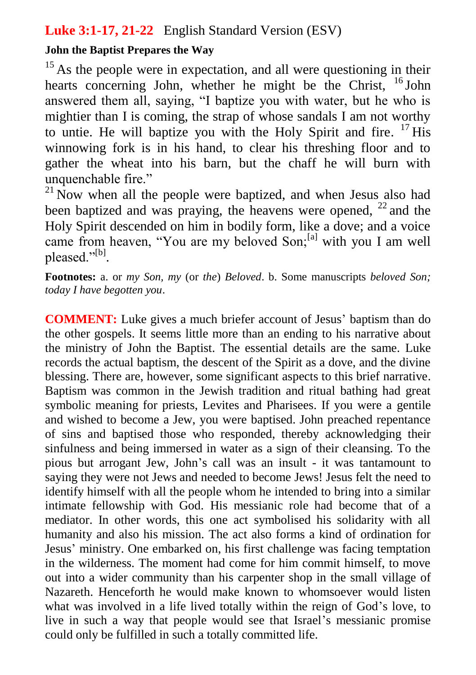## **Luke 3:1-17, 21-22** English Standard Version (ESV)

#### **John the Baptist Prepares the Way**

 $15$  As the people were in expectation, and all were questioning in their hearts concerning John, whether he might be the Christ, <sup>16</sup> John answered them all, saying, "I baptize you with water, but he who is mightier than I is coming, the strap of whose sandals I am not worthy to untie. He will baptize you with the Holy Spirit and fire. <sup>17</sup> His winnowing fork is in his hand, to clear his threshing floor and to gather the wheat into his barn, but the chaff he will burn with unquenchable fire."

 $^{21}$  Now when all the people were baptized, and when Jesus also had been baptized and was praying, the heavens were opened,  $^{22}$  and the Holy Spirit descended on him in bodily form, like a dove; and a voice came from heaven, "You are my beloved Son;<sup>[a]</sup> with you I am well pleased."<sup>[b]</sup>.

**Footnotes:** a. or *my Son, my* (or *the*) *Beloved*. b. Some manuscripts *beloved Son; today I have begotten you*.

**COMMENT:** Luke gives a much briefer account of Jesus' baptism than do the other gospels. It seems little more than an ending to his narrative about the ministry of John the Baptist. The essential details are the same. Luke records the actual baptism, the descent of the Spirit as a dove, and the divine blessing. There are, however, some significant aspects to this brief narrative. Baptism was common in the Jewish tradition and ritual bathing had great symbolic meaning for priests, Levites and Pharisees. If you were a gentile and wished to become a Jew, you were baptised. John preached repentance of sins and baptised those who responded, thereby acknowledging their sinfulness and being immersed in water as a sign of their cleansing. To the pious but arrogant Jew, John's call was an insult - it was tantamount to saying they were not Jews and needed to become Jews! Jesus felt the need to identify himself with all the people whom he intended to bring into a similar intimate fellowship with God. His messianic role had become that of a mediator. In other words, this one act symbolised his solidarity with all humanity and also his mission. The act also forms a kind of ordination for Jesus' ministry. One embarked on, his first challenge was facing temptation in the wilderness. The moment had come for him commit himself, to move out into a wider community than his carpenter shop in the small village of Nazareth. Henceforth he would make known to whomsoever would listen what was involved in a life lived totally within the reign of God's love, to live in such a way that people would see that Israel's messianic promise could only be fulfilled in such a totally committed life.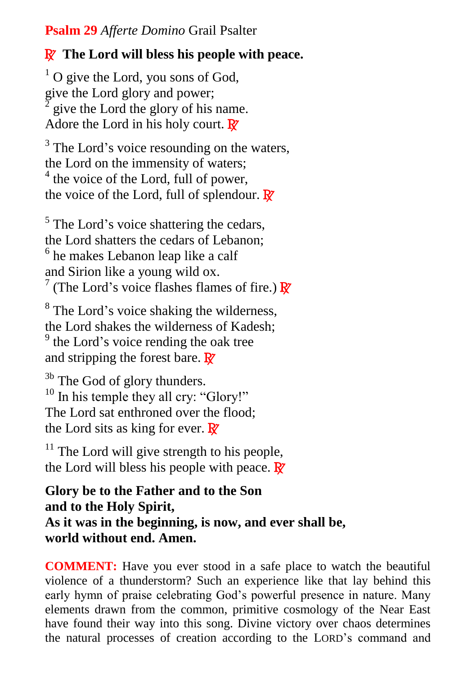**Psalm 29** *Afferte Domino* Grail Psalter

## R **The Lord will bless his people with peace.**

 $1$  O give the Lord, you sons of God, give the Lord glory and power; 2 give the Lord the glory of his name. Adore the Lord in his holy court.  $\mathbb{R}^7$ 

<sup>3</sup> The Lord's voice resounding on the waters, the Lord on the immensity of waters; <sup>4</sup> the voice of the Lord, full of power, the voice of the Lord, full of splendour.  $\mathbb{R}^7$ 

<sup>5</sup> The Lord's voice shattering the cedars, the Lord shatters the cedars of Lebanon; 6 he makes Lebanon leap like a calf and Sirion like a young wild ox. <sup>7</sup> (The Lord's voice flashes flames of fire.)  $\mathbb{R}^7$ 

<sup>8</sup> The Lord's voice shaking the wilderness, the Lord shakes the wilderness of Kadesh;

<sup>9</sup> the Lord's voice rending the oak tree and stripping the forest bare.  $\mathbb{R}^7$ 

<sup>3b</sup> The God of glory thunders.  $10$  In his temple they all cry: "Glory!" The Lord sat enthroned over the flood; the Lord sits as king for ever.  $\mathbb{R}^7$ 

 $11$  The Lord will give strength to his people, the Lord will bless his people with peace.  $\mathbb{R}^7$ 

**Glory be to the Father and to the Son and to the Holy Spirit, As it was in the beginning, is now, and ever shall be, world without end. Amen.** 

**COMMENT:** Have you ever stood in a safe place to watch the beautiful violence of a thunderstorm? Such an experience like that lay behind this early hymn of praise celebrating God's powerful presence in nature. Many elements drawn from the common, primitive cosmology of the Near East have found their way into this song. Divine victory over chaos determines the natural processes of creation according to the LORD's command and